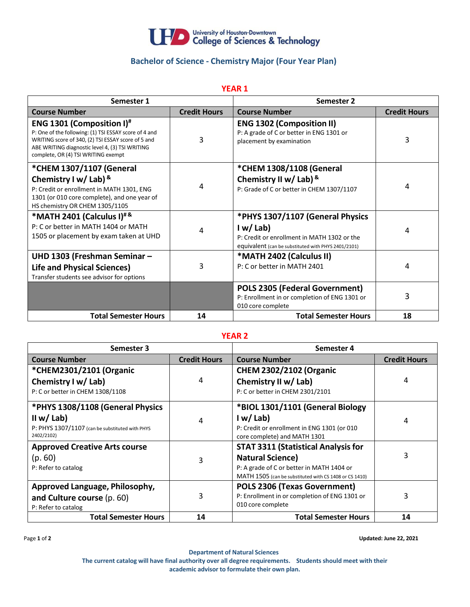

# **Bachelor of Science - Chemistry Major (Four Year Plan)**

**YEAR 1**

| Semester 1                                                                                                                                                                                                                                     |                     | Semester 2                                                                                                                                        |                     |
|------------------------------------------------------------------------------------------------------------------------------------------------------------------------------------------------------------------------------------------------|---------------------|---------------------------------------------------------------------------------------------------------------------------------------------------|---------------------|
| <b>Course Number</b>                                                                                                                                                                                                                           | <b>Credit Hours</b> | <b>Course Number</b>                                                                                                                              | <b>Credit Hours</b> |
| ENG 1301 (Composition I) <sup>#</sup><br>P: One of the following: (1) TSI ESSAY score of 4 and<br>WRITING score of 340, (2) TSI ESSAY score of 5 and<br>ABE WRITING diagnostic level 4, (3) TSI WRITING<br>complete, OR (4) TSI WRITING exempt | 3                   | <b>ENG 1302 (Composition II)</b><br>P: A grade of C or better in ENG 1301 or<br>placement by examination                                          | 3                   |
| *CHEM 1307/1107 (General<br>Chemistry I w/ Lab) $8$<br>P: Credit or enrollment in MATH 1301, ENG<br>1301 (or 010 core complete), and one year of<br>HS chemistry OR CHEM 1305/1105                                                             | 4                   | *CHEM 1308/1108 (General<br>Chemistry II w/Lab) $8$<br>P: Grade of C or better in CHEM 1307/1107                                                  | 4                   |
| *MATH 2401 (Calculus I) <sup>#&amp;</sup><br>P: C or better in MATH 1404 or MATH<br>1505 or placement by exam taken at UHD                                                                                                                     | 4                   | *PHYS 1307/1107 (General Physics<br>I w/Lab<br>P: Credit or enrollment in MATH 1302 or the<br>equivalent (can be substituted with PHYS 2401/2101) | 4                   |
| UHD 1303 (Freshman Seminar -<br><b>Life and Physical Sciences)</b><br>Transfer students see advisor for options                                                                                                                                | 3                   | *MATH 2402 (Calculus II)<br>P: C or better in MATH 2401                                                                                           | 4                   |
|                                                                                                                                                                                                                                                |                     | <b>POLS 2305 (Federal Government)</b><br>P: Enrollment in or completion of ENG 1301 or<br>010 core complete                                       | 3                   |
| <b>Total Semester Hours</b>                                                                                                                                                                                                                    | 14                  | <b>Total Semester Hours</b>                                                                                                                       | 18                  |

#### **YEAR 2**

| Semester 3                                      |                     | Semester 4                                             |                     |
|-------------------------------------------------|---------------------|--------------------------------------------------------|---------------------|
| <b>Course Number</b>                            | <b>Credit Hours</b> | <b>Course Number</b>                                   | <b>Credit Hours</b> |
| *CHEM2301/2101 (Organic                         |                     | <b>CHEM 2302/2102 (Organic</b>                         |                     |
| Chemistry I w/ Lab)                             | 4                   | Chemistry II w/ Lab)                                   | 4                   |
| P: C or better in CHEM 1308/1108                |                     | P: C or better in CHEM 2301/2101                       |                     |
| *PHYS 1308/1108 (General Physics                |                     | *BIOL 1301/1101 (General Biology                       |                     |
| II w/ Lab)                                      | 4                   | I w/Lab                                                | 4                   |
| P: PHYS 1307/1107 (can be substituted with PHYS |                     | P: Credit or enrollment in ENG 1301 (or 010            |                     |
| 2402/2102)                                      |                     | core complete) and MATH 1301                           |                     |
| <b>Approved Creative Arts course</b>            |                     | <b>STAT 3311 (Statistical Analysis for</b>             |                     |
| (p. 60)                                         | 3                   | <b>Natural Science)</b>                                | 3                   |
| P: Refer to catalog                             |                     | P: A grade of C or better in MATH 1404 or              |                     |
|                                                 |                     | MATH 1505 (can be substituted with CS 1408 or CS 1410) |                     |
| Approved Language, Philosophy,                  |                     | POLS 2306 (Texas Government)                           |                     |
| and Culture course (p. 60)                      | 3                   | P: Enrollment in or completion of ENG 1301 or          | 3                   |
| P: Refer to catalog                             |                     | 010 core complete                                      |                     |
| <b>Total Semester Hours</b>                     | 14                  | <b>Total Semester Hours</b>                            | 14                  |

Page **1** of **2 Updated: June 22, 2021**

**Department of Natural Sciences The current catalog will have final authority over all degree requirements. Students should meet with their academic advisor to formulate their own plan.**